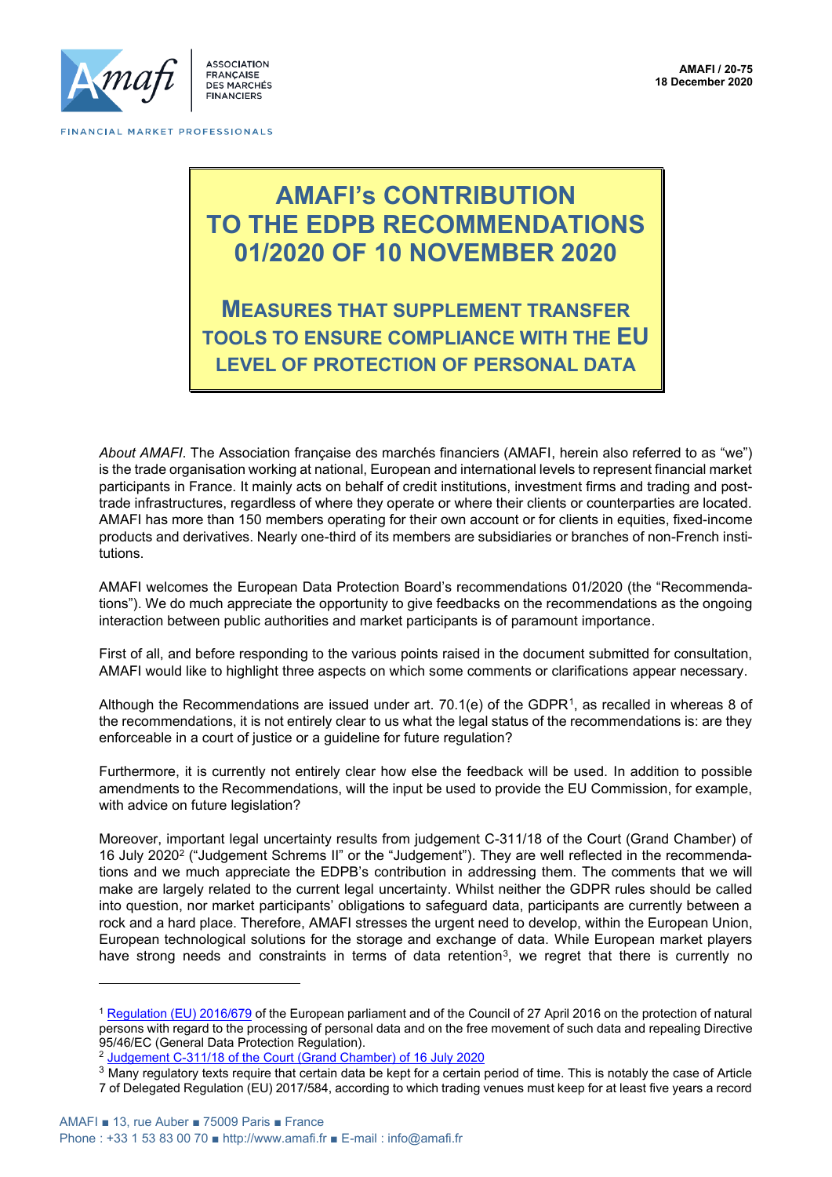

**ASSOCIATION FRANCAISE** DES MARCHÉS **FINANCIERS** 

# **AMAFI's CONTRIBUTION TO THE EDPB RECOMMENDATIONS 01/2020 OF 10 NOVEMBER 2020**

**MEASURES THAT SUPPLEMENT TRANSFER TOOLS TO ENSURE COMPLIANCE WITH THE EU LEVEL OF PROTECTION OF PERSONAL DATA**

*About AMAFI*. The Association française des marchés financiers (AMAFI, herein also referred to as "we") is the trade organisation working at national, European and international levels to represent financial market participants in France. It mainly acts on behalf of credit institutions, investment firms and trading and posttrade infrastructures, regardless of where they operate or where their clients or counterparties are located. AMAFI has more than 150 members operating for their own account or for clients in equities, fixed-income products and derivatives. Nearly one-third of its members are subsidiaries or branches of non-French institutions.

AMAFI welcomes the European Data Protection Board's recommendations 01/2020 (the "Recommendations"). We do much appreciate the opportunity to give feedbacks on the recommendations as the ongoing interaction between public authorities and market participants is of paramount importance.

First of all, and before responding to the various points raised in the document submitted for consultation, AMAFI would like to highlight three aspects on which some comments or clarifications appear necessary.

Although the Recommendations are issued under art. 70.1(e) of the GDPR<sup>1</sup>, as recalled in whereas 8 of the recommendations, it is not entirely clear to us what the legal status of the recommendations is: are they enforceable in a court of justice or a guideline for future regulation?

Furthermore, it is currently not entirely clear how else the feedback will be used. In addition to possible amendments to the Recommendations, will the input be used to provide the EU Commission, for example, with advice on future legislation?

Moreover, important legal uncertainty results from judgement C-311/18 of the Court (Grand Chamber) of 16 July 2020<sup>2</sup> ("Judgement Schrems II" or the "Judgement"). They are well reflected in the recommendations and we much appreciate the EDPB's contribution in addressing them. The comments that we will make are largely related to the current legal uncertainty. Whilst neither the GDPR rules should be called into question, nor market participants' obligations to safeguard data, participants are currently between a rock and a hard place. Therefore, AMAFI stresses the urgent need to develop, within the European Union, European technological solutions for the storage and exchange of data. While European market players have strong needs and constraints in terms of data retention<sup>3</sup>, we regret that there is currently no

<sup>&</sup>lt;sup>1</sup> [Regulation \(EU\) 2016/679](https://eur-lex.europa.eu/legal-content/EN/TXT/PDF/?uri=CELEX:32016R0679&from=FR) of the European parliament and of the Council of 27 April 2016 on the protection of natural persons with regard to the processing of personal data and on the free movement of such data and repealing Directive 95/46/EC (General Data Protection Regulation).

<sup>2</sup> [Judgement C-311/18 of the Court \(Grand Chamber\) of 16 July 2020](http://curia.europa.eu/juris/document/document.jsf?text=&docid=228677&pageIndex=0&doclang=en&mode=req&dir=&occ=first&part=1&cid=15926316)

 $3$  Many regulatory texts require that certain data be kept for a certain period of time. This is notably the case of Article 7 of Delegated Regulation (EU) 2017/584, according to which trading venues must keep for at least five years a record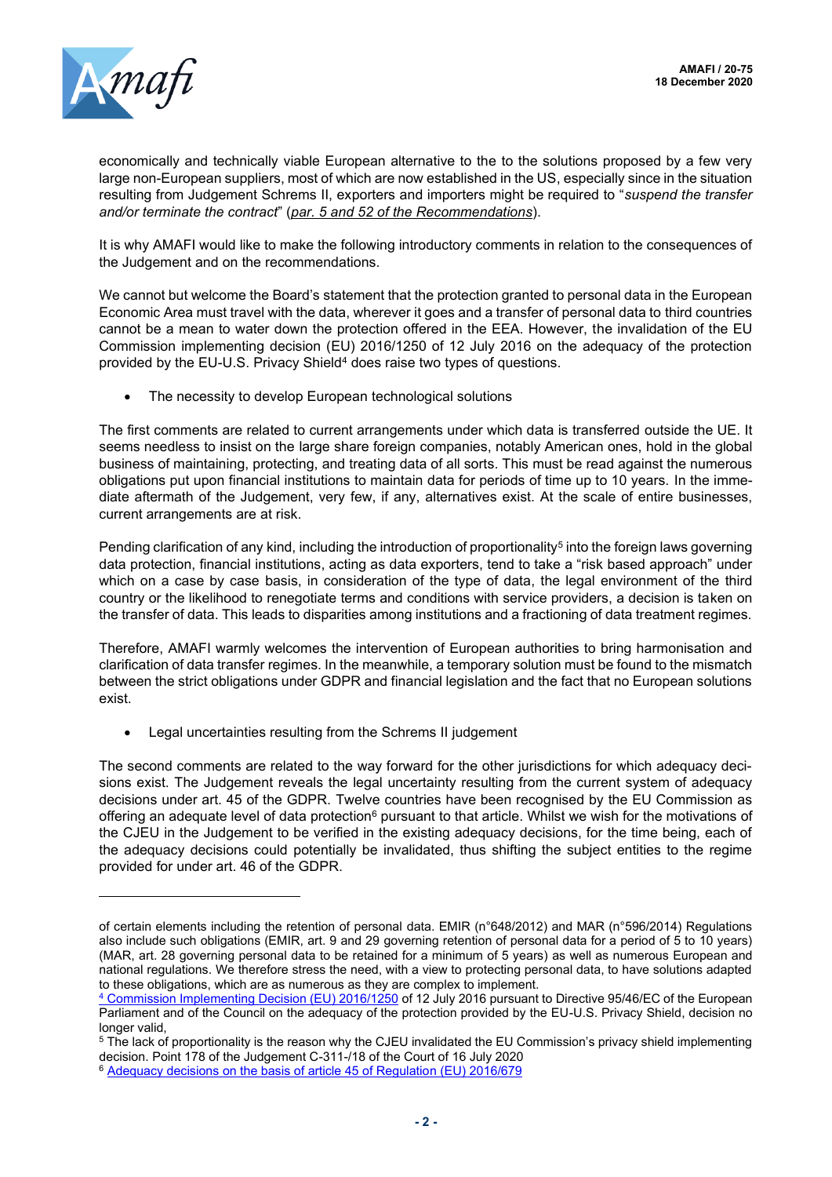

economically and technically viable European alternative to the to the solutions proposed by a few very large non-European suppliers, most of which are now established in the US, especially since in the situation resulting from Judgement Schrems II, exporters and importers might be required to "*suspend the transfer and/or terminate the contract*" (*par. 5 and 52 of the Recommendations*).

It is why AMAFI would like to make the following introductory comments in relation to the consequences of the Judgement and on the recommendations.

We cannot but welcome the Board's statement that the protection granted to personal data in the European Economic Area must travel with the data, wherever it goes and a transfer of personal data to third countries cannot be a mean to water down the protection offered in the EEA. However, the invalidation of the EU Commission implementing decision (EU) 2016/1250 of 12 July 2016 on the adequacy of the protection provided by the EU-U.S. Privacy Shield<sup>4</sup> does raise two types of questions.

The necessity to develop European technological solutions

The first comments are related to current arrangements under which data is transferred outside the UE. It seems needless to insist on the large share foreign companies, notably American ones, hold in the global business of maintaining, protecting, and treating data of all sorts. This must be read against the numerous obligations put upon financial institutions to maintain data for periods of time up to 10 years. In the immediate aftermath of the Judgement, very few, if any, alternatives exist. At the scale of entire businesses, current arrangements are at risk.

Pending clarification of any kind, including the introduction of proportionality<sup>5</sup> into the foreign laws governing data protection, financial institutions, acting as data exporters, tend to take a "risk based approach" under which on a case by case basis, in consideration of the type of data, the legal environment of the third country or the likelihood to renegotiate terms and conditions with service providers, a decision is taken on the transfer of data. This leads to disparities among institutions and a fractioning of data treatment regimes.

Therefore, AMAFI warmly welcomes the intervention of European authorities to bring harmonisation and clarification of data transfer regimes. In the meanwhile, a temporary solution must be found to the mismatch between the strict obligations under GDPR and financial legislation and the fact that no European solutions exist.

Legal uncertainties resulting from the Schrems II judgement

The second comments are related to the way forward for the other jurisdictions for which adequacy decisions exist. The Judgement reveals the legal uncertainty resulting from the current system of adequacy decisions under art. 45 of the GDPR. Twelve countries have been recognised by the EU Commission as offering an adequate level of data protection<sup>6</sup> pursuant to that article. Whilst we wish for the motivations of the CJEU in the Judgement to be verified in the existing adequacy decisions, for the time being, each of the adequacy decisions could potentially be invalidated, thus shifting the subject entities to the regime provided for under art. 46 of the GDPR.

of certain elements including the retention of personal data. EMIR (n°648/2012) and MAR (n°596/2014) Regulations also include such obligations (EMIR, art. 9 and 29 governing retention of personal data for a period of 5 to 10 years) (MAR, art. 28 governing personal data to be retained for a minimum of 5 years) as well as numerous European and national regulations. We therefore stress the need, with a view to protecting personal data, to have solutions adapted to these obligations, which are as numerous as they are complex to implement.

<sup>4</sup> [Commission Implementing Decision \(EU\) 2016/1250](https://eur-lex.europa.eu/legal-content/EN/TXT/?uri=uriserv%3AOJ.L_.2016.207.01.0001.01.ENG&toc=OJ%3AL%3A2016%3A207%3ATOC) of 12 July 2016 pursuant to Directive 95/46/EC of the European Parliament and of the Council on the adequacy of the protection provided by the EU-U.S. Privacy Shield, decision no longer valid,

<sup>&</sup>lt;sup>5</sup> The lack of proportionality is the reason why the CJEU invalidated the EU Commission's privacy shield implementing decision. Point 178 of the Judgement C-311-/18 of the Court of 16 July 2020

<sup>6</sup> [Adequacy decisions on the basis of article 45 of Regulation \(EU\) 2016/679](https://ec.europa.eu/info/law/law-topic/data-protection/international-dimension-data-protection/adequacy-decisions_en)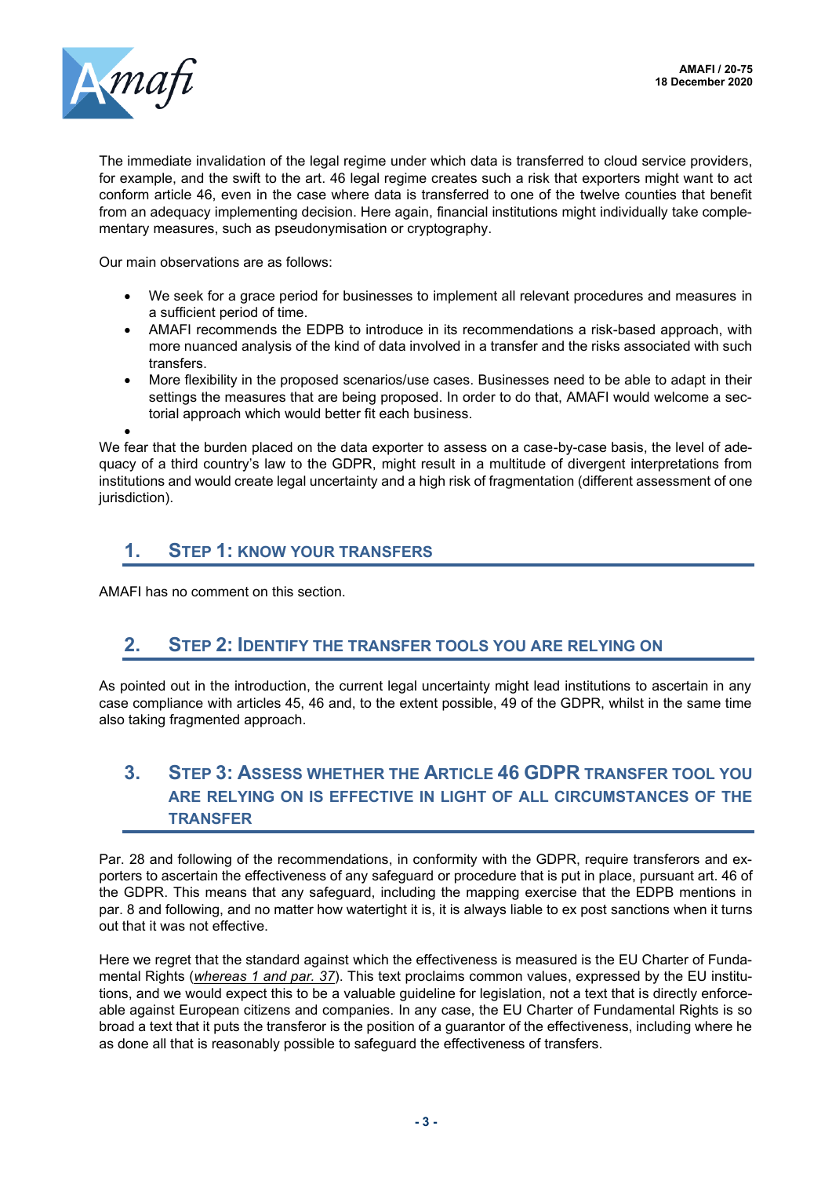

•

The immediate invalidation of the legal regime under which data is transferred to cloud service providers, for example, and the swift to the art. 46 legal regime creates such a risk that exporters might want to act conform article 46, even in the case where data is transferred to one of the twelve counties that benefit from an adequacy implementing decision. Here again, financial institutions might individually take complementary measures, such as pseudonymisation or cryptography.

Our main observations are as follows:

- We seek for a grace period for businesses to implement all relevant procedures and measures in a sufficient period of time.
- AMAFI recommends the EDPB to introduce in its recommendations a risk-based approach, with more nuanced analysis of the kind of data involved in a transfer and the risks associated with such transfers.
- More flexibility in the proposed scenarios/use cases. Businesses need to be able to adapt in their settings the measures that are being proposed. In order to do that, AMAFI would welcome a sectorial approach which would better fit each business.

We fear that the burden placed on the data exporter to assess on a case-by-case basis, the level of adequacy of a third country's law to the GDPR, might result in a multitude of divergent interpretations from institutions and would create legal uncertainty and a high risk of fragmentation (different assessment of one jurisdiction).

## **1. STEP 1: KNOW YOUR TRANSFERS**

AMAFI has no comment on this section.

#### **2. STEP 2: IDENTIFY THE TRANSFER TOOLS YOU ARE RELYING ON**

As pointed out in the introduction, the current legal uncertainty might lead institutions to ascertain in any case compliance with articles 45, 46 and, to the extent possible, 49 of the GDPR, whilst in the same time also taking fragmented approach.

# **3. STEP 3: ASSESS WHETHER THE ARTICLE 46 GDPR TRANSFER TOOL YOU ARE RELYING ON IS EFFECTIVE IN LIGHT OF ALL CIRCUMSTANCES OF THE TRANSFER**

Par. 28 and following of the recommendations, in conformity with the GDPR, require transferors and exporters to ascertain the effectiveness of any safeguard or procedure that is put in place, pursuant art. 46 of the GDPR. This means that any safeguard, including the mapping exercise that the EDPB mentions in par. 8 and following, and no matter how watertight it is, it is always liable to ex post sanctions when it turns out that it was not effective.

Here we regret that the standard against which the effectiveness is measured is the EU Charter of Fundamental Rights (*whereas 1 and par. 37*). This text proclaims common values, expressed by the EU institutions, and we would expect this to be a valuable guideline for legislation, not a text that is directly enforceable against European citizens and companies. In any case, the EU Charter of Fundamental Rights is so broad a text that it puts the transferor is the position of a guarantor of the effectiveness, including where he as done all that is reasonably possible to safeguard the effectiveness of transfers.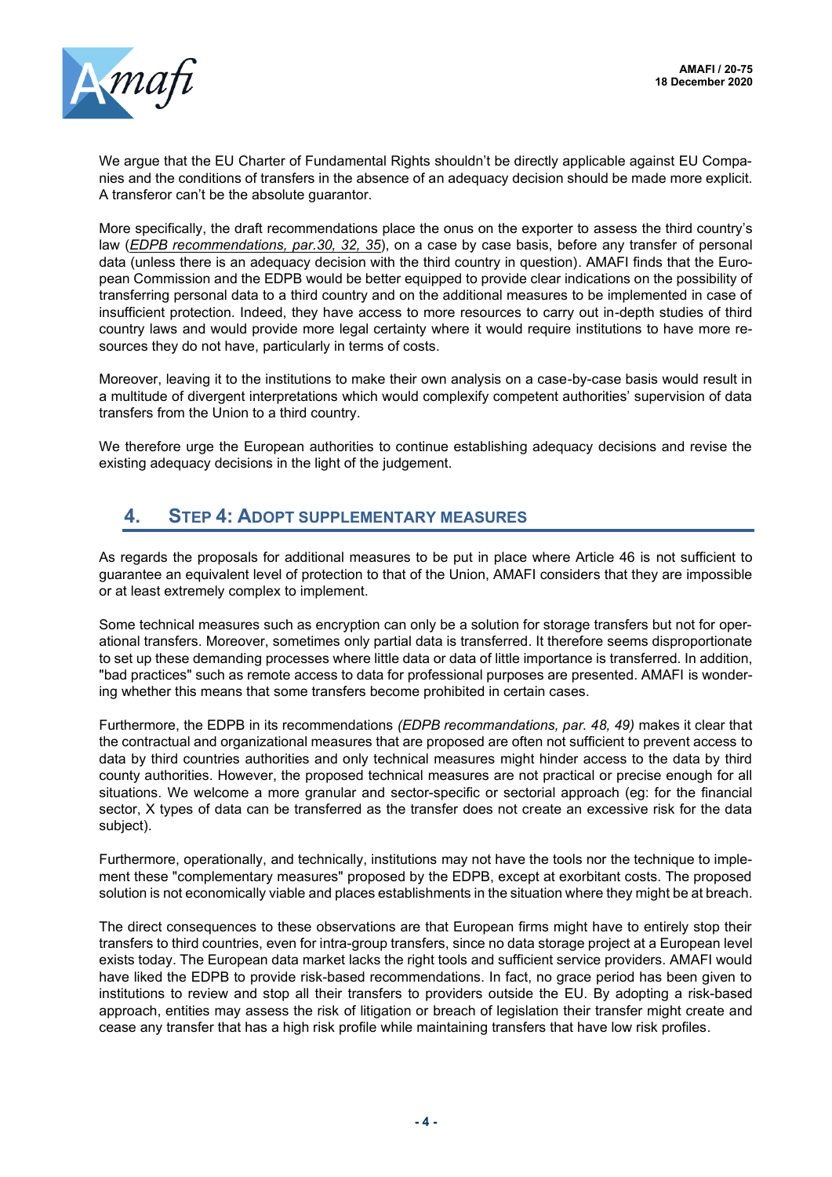

We argue that the EU Charter of Fundamental Rights shouldn't be directly applicable against EU Companies and the conditions of transfers in the absence of an adequacy decision should be made more explicit. A transferor can't be the absolute guarantor.

More specifically, the draft recommendations place the onus on the exporter to assess the third country's law (*EDPB recommendations, par.30, 32, 35*), on a case by case basis, before any transfer of personal data (unless there is an adequacy decision with the third country in question). AMAFI finds that the European Commission and the EDPB would be better equipped to provide clear indications on the possibility of transferring personal data to a third country and on the additional measures to be implemented in case of insufficient protection. Indeed, they have access to more resources to carry out in-depth studies of third country laws and would provide more legal certainty where it would require institutions to have more resources they do not have, particularly in terms of costs.

Moreover, leaving it to the institutions to make their own analysis on a case-by-case basis would result in a multitude of divergent interpretations which would complexify competent authorities' supervision of data transfers from the Union to a third country.

We therefore urge the European authorities to continue establishing adequacy decisions and revise the existing adequacy decisions in the light of the judgement.

# **4. STEP 4: ADOPT SUPPLEMENTARY MEASURES**

As regards the proposals for additional measures to be put in place where Article 46 is not sufficient to guarantee an equivalent level of protection to that of the Union, AMAFI considers that they are impossible or at least extremely complex to implement.

Some technical measures such as encryption can only be a solution for storage transfers but not for operational transfers. Moreover, sometimes only partial data is transferred. It therefore seems disproportionate to set up these demanding processes where little data or data of little importance is transferred. In addition, "bad practices" such as remote access to data for professional purposes are presented. AMAFI is wondering whether this means that some transfers become prohibited in certain cases.

Furthermore, the EDPB in its recommendations *(EDPB recommandations, par. 48, 49)* makes it clear that the contractual and organizational measures that are proposed are often not sufficient to prevent access to data by third countries authorities and only technical measures might hinder access to the data by third county authorities. However, the proposed technical measures are not practical or precise enough for all situations. We welcome a more granular and sector-specific or sectorial approach (eg: for the financial sector, X types of data can be transferred as the transfer does not create an excessive risk for the data subject).

Furthermore, operationally, and technically, institutions may not have the tools nor the technique to implement these "complementary measures" proposed by the EDPB, except at exorbitant costs. The proposed solution is not economically viable and places establishments in the situation where they might be at breach.

The direct consequences to these observations are that European firms might have to entirely stop their transfers to third countries, even for intra-group transfers, since no data storage project at a European level exists today. The European data market lacks the right tools and sufficient service providers. AMAFI would have liked the EDPB to provide risk-based recommendations. In fact, no grace period has been given to institutions to review and stop all their transfers to providers outside the EU. By adopting a risk-based approach, entities may assess the risk of litigation or breach of legislation their transfer might create and cease any transfer that has a high risk profile while maintaining transfers that have low risk profiles.